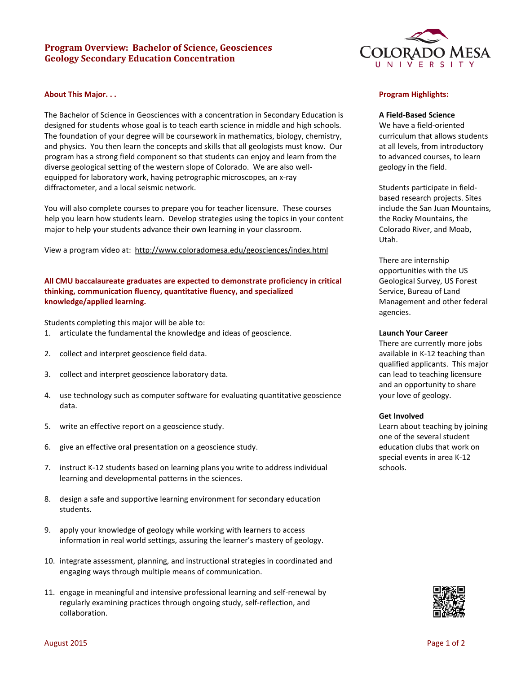# **Program Overview: Bachelor of Science, Geosciences Geology Secondary Education Concentration**

#### **About This Major. . .**

The Bachelor of Science in Geosciences with a concentration in Secondary Education is designed for students whose goal is to teach earth science in middle and high schools. The foundation of your degree will be coursework in mathematics, biology, chemistry, and physics. You then learn the concepts and skills that all geologists must know. Our program has a strong field component so that students can enjoy and learn from the diverse geological setting of the western slope of Colorado. We are also wellequipped for laboratory work, having petrographic microscopes, an x-ray diffractometer, and a local seismic network.

You will also complete courses to prepare you for teacher licensure. These courses help you learn how students learn. Develop strategies using the topics in your content major to help your students advance their own learning in your classroom*.*

View a program video at: <http://www.coloradomesa.edu/geosciences/index.html>

# **All CMU baccalaureate graduates are expected to demonstrate proficiency in critical thinking, communication fluency, quantitative fluency, and specialized knowledge/applied learning.**

Students completing this major will be able to:

- 1. articulate the fundamental the knowledge and ideas of geoscience.
- 2. collect and interpret geoscience field data.
- 3. collect and interpret geoscience laboratory data.
- 4. use technology such as computer software for evaluating quantitative geoscience data.
- 5. write an effective report on a geoscience study.
- 6. give an effective oral presentation on a geoscience study.
- 7. instruct K-12 students based on learning plans you write to address individual learning and developmental patterns in the sciences.
- 8. design a safe and supportive learning environment for secondary education students.
- 9. apply your knowledge of geology while working with learners to access information in real world settings, assuring the learner's mastery of geology.
- 10. integrate assessment, planning, and instructional strategies in coordinated and engaging ways through multiple means of communication.
- 11. engage in meaningful and intensive professional learning and self-renewal by regularly examining practices through ongoing study, self-reflection, and collaboration.



## **Program Highlights:**

#### **A Field-Based Science**

We have a field-oriented curriculum that allows students at all levels, from introductory to advanced courses, to learn geology in the field.

Students participate in fieldbased research projects. Sites include the San Juan Mountains, the Rocky Mountains, the Colorado River, and Moab, Utah.

There are internship opportunities with the US Geological Survey, US Forest Service, Bureau of Land Management and other federal agencies.

#### **Launch Your Career**

There are currently more jobs available in K-12 teaching than qualified applicants. This major can lead to teaching licensure and an opportunity to share your love of geology.

#### **Get Involved**

Learn about teaching by joining one of the several student education clubs that work on special events in area K-12 schools.